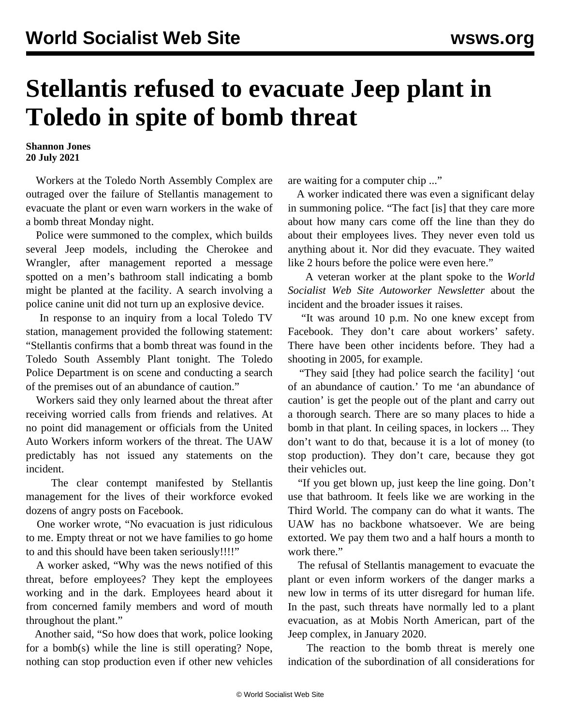## **Stellantis refused to evacuate Jeep plant in Toledo in spite of bomb threat**

**Shannon Jones 20 July 2021**

 Workers at the Toledo North Assembly Complex are outraged over the failure of Stellantis management to evacuate the plant or even warn workers in the wake of a bomb threat Monday night.

 Police were summoned to the complex, which builds several Jeep models, including the Cherokee and Wrangler, after management reported a message spotted on a men's bathroom stall indicating a bomb might be planted at the facility. A search involving a police canine unit did not turn up an explosive device.

 In response to an inquiry from a local Toledo TV station, management provided the following statement: "Stellantis confirms that a bomb threat was found in the Toledo South Assembly Plant tonight. The Toledo Police Department is on scene and conducting a search of the premises out of an abundance of caution."

 Workers said they only learned about the threat after receiving worried calls from friends and relatives. At no point did management or officials from the United Auto Workers inform workers of the threat. The UAW predictably has not issued any statements on the incident.

 The clear contempt manifested by Stellantis management for the lives of their workforce evoked dozens of angry posts on Facebook.

 One worker wrote, "No evacuation is just ridiculous to me. Empty threat or not we have families to go home to and this should have been taken seriously!!!!"

 A worker asked, "Why was the news notified of this threat, before employees? They kept the employees working and in the dark. Employees heard about it from concerned family members and word of mouth throughout the plant."

 Another said, "So how does that work, police looking for a bomb(s) while the line is still operating? Nope, nothing can stop production even if other new vehicles are waiting for a computer chip ..."

 A worker indicated there was even a significant delay in summoning police. "The fact [is] that they care more about how many cars come off the line than they do about their employees lives. They never even told us anything about it. Nor did they evacuate. They waited like 2 hours before the police were even here."

 A veteran worker at the plant spoke to the *World Socialist Web Site Autoworker Newsletter* about the incident and the broader issues it raises.

 "It was around 10 p.m. No one knew except from Facebook. They don't care about workers' safety. There have been other incidents before. They had a shooting in 2005, for example.

 "They said [they had police search the facility] 'out of an abundance of caution.' To me 'an abundance of caution' is get the people out of the plant and carry out a thorough search. There are so many places to hide a bomb in that plant. In ceiling spaces, in lockers ... They don't want to do that, because it is a lot of money (to stop production). They don't care, because they got their vehicles out.

 "If you get blown up, just keep the line going. Don't use that bathroom. It feels like we are working in the Third World. The company can do what it wants. The UAW has no backbone whatsoever. We are being extorted. We pay them two and a half hours a month to work there."

 The refusal of Stellantis management to evacuate the plant or even inform workers of the danger marks a new low in terms of its utter disregard for human life. In the past, such threats have normally led to a plant evacuation, as at Mobis North American, part of the Jeep complex, in January 2020.

 The reaction to the bomb threat is merely one indication of the subordination of all considerations for